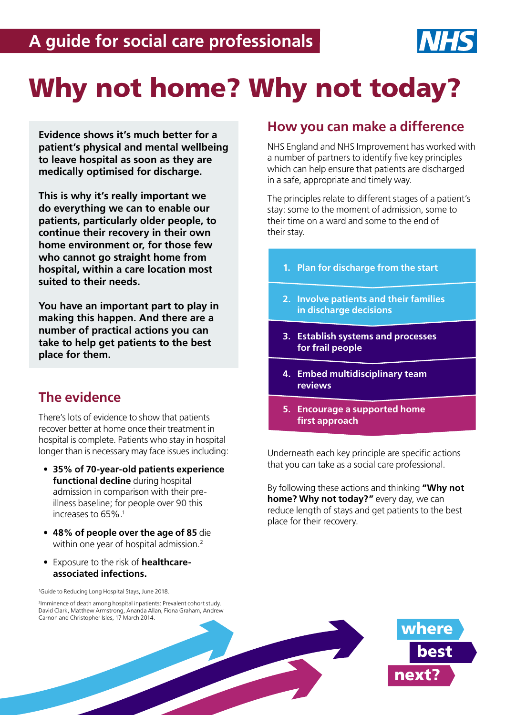

# Why not home? Why not today?

**Evidence shows it's much better for a patient's physical and mental wellbeing to leave hospital as soon as they are medically optimised for discharge.**

**This is why it's really important we do everything we can to enable our patients, particularly older people, to continue their recovery in their own home environment or, for those few who cannot go straight home from hospital, within a care location most suited to their needs.**

**You have an important part to play in making this happen. And there are a number of practical actions you can take to help get patients to the best place for them.**

## **The evidence**

There's lots of evidence to show that patients recover better at home once their treatment in hospital is complete. Patients who stay in hospital longer than is necessary may face issues including:

- **• 35% of 70-year-old patients experience functional decline** during hospital admission in comparison with their preillness baseline; for people over 90 this increases to 65%.1
- **• 48% of people over the age of 85** die within one year of hospital admission.<sup>2</sup>
- **•** Exposure to the risk of **healthcareassociated infections.**

<sup>1</sup>Guide to Reducing Long Hospital Stays, June 2018.

2 Imminence of death among hospital inpatients: Prevalent cohort study. David Clark, Matthew Armstrong, Ananda Allan, Fiona Graham, Andrew

## **How you can make a difference**

NHS England and NHS Improvement has worked with a number of partners to identify five key principles which can help ensure that patients are discharged in a safe, appropriate and timely way.

The principles relate to different stages of a patient's stay: some to the moment of admission, some to their time on a ward and some to the end of their stay.

- **1. Plan for discharge from the start**
- **2. Involve patients and their families in discharge decisions**
- **3. Establish systems and processes for frail people**
- **4. Embed multidisciplinary team reviews**
- **5. Encourage a supported home first approach**

Underneath each key principle are specific actions that you can take as a social care professional.

By following these actions and thinking **"Why not home? Why not today?"** every day, we can reduce length of stays and get patients to the best place for their recovery.